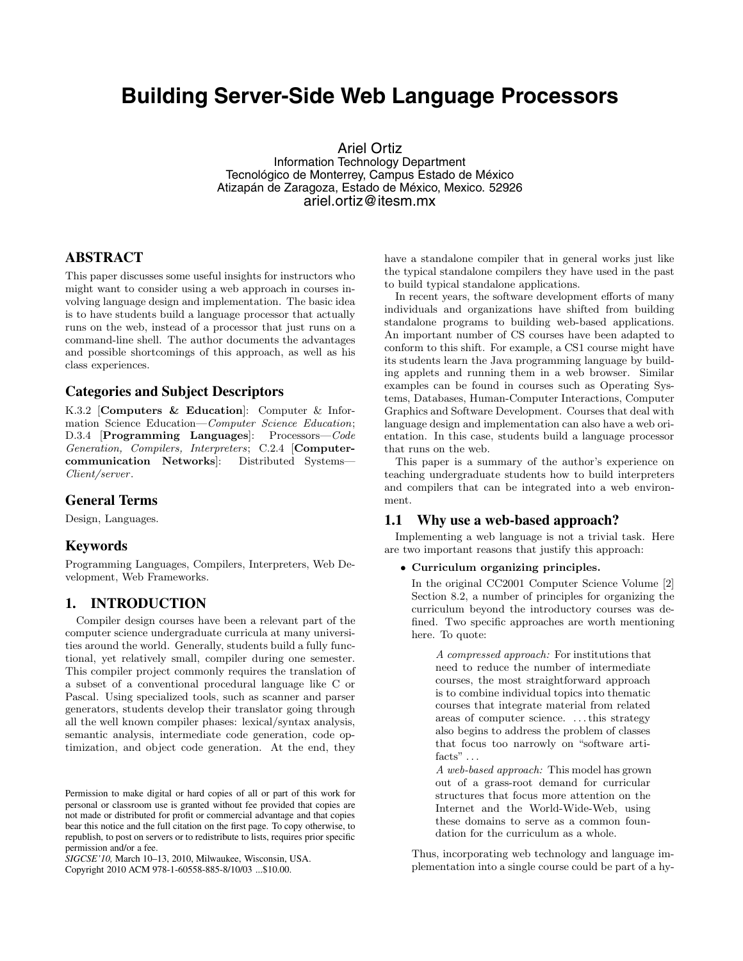# **Building Server-Side Web Language Processors**

Ariel Ortiz Information Technology Department Tecnológico de Monterrey, Campus Estado de México Atizapán de Zaragoza, Estado de México, Mexico. 52926 ariel.ortiz@itesm.mx

# **ABSTRACT**

This paper discusses some useful insights for instructors who might want to consider using a web approach in courses involving language design and implementation. The basic idea is to have students build a language processor that actually runs on the web, instead of a processor that just runs on a command-line shell. The author documents the advantages and possible shortcomings of this approach, as well as his class experiences.

#### **Categories and Subject Descriptors**

K.3.2 [**Computers & Education**]: Computer & Information Science Education—*Computer Science Education*; D.3.4 [**Programming Languages**]: Processors—*Code Generation, Compilers, Interpreters*; C.2.4 [**Computercommunication Networks**]: Distributed Systems— *Client/server*.

#### **General Terms**

Design, Languages.

#### **Keywords**

Programming Languages, Compilers, Interpreters, Web Development, Web Frameworks.

## **1. INTRODUCTION**

Compiler design courses have been a relevant part of the computer science undergraduate curricula at many universities around the world. Generally, students build a fully functional, yet relatively small, compiler during one semester. This compiler project commonly requires the translation of a subset of a conventional procedural language like C or Pascal. Using specialized tools, such as scanner and parser generators, students develop their translator going through all the well known compiler phases: lexical/syntax analysis, semantic analysis, intermediate code generation, code optimization, and object code generation. At the end, they

*SIGCSE'10,* March 10–13, 2010, Milwaukee, Wisconsin, USA.

Copyright 2010 ACM 978-1-60558-885-8/10/03 ...\$10.00.

have a standalone compiler that in general works just like the typical standalone compilers they have used in the past to build typical standalone applications.

In recent years, the software development efforts of many individuals and organizations have shifted from building standalone programs to building web-based applications. An important number of CS courses have been adapted to conform to this shift. For example, a CS1 course might have its students learn the Java programming language by building applets and running them in a web browser. Similar examples can be found in courses such as Operating Systems, Databases, Human-Computer Interactions, Computer Graphics and Software Development. Courses that deal with language design and implementation can also have a web orientation. In this case, students build a language processor that runs on the web.

This paper is a summary of the author's experience on teaching undergraduate students how to build interpreters and compilers that can be integrated into a web environment.

## **1.1 Why use a web-based approach?**

Implementing a web language is not a trivial task. Here are two important reasons that justify this approach:

#### *•* **Curriculum organizing principles.**

In the original CC2001 Computer Science Volume [2] Section 8.2, a number of principles for organizing the curriculum beyond the introductory courses was defined. Two specific approaches are worth mentioning here. To quote:

*A compressed approach:* For institutions that need to reduce the number of intermediate courses, the most straightforward approach is to combine individual topics into thematic courses that integrate material from related areas of computer science. . . . this strategy also begins to address the problem of classes that focus too narrowly on "software artifacts" $\dots$ 

*A web-based approach:* This model has grown out of a grass-root demand for curricular structures that focus more attention on the Internet and the World-Wide-Web, using these domains to serve as a common foundation for the curriculum as a whole.

Thus, incorporating web technology and language implementation into a single course could be part of a hy-

Permission to make digital or hard copies of all or part of this work for personal or classroom use is granted without fee provided that copies are not made or distributed for profit or commercial advantage and that copies bear this notice and the full citation on the first page. To copy otherwise, to republish, to post on servers or to redistribute to lists, requires prior specific permission and/or a fee.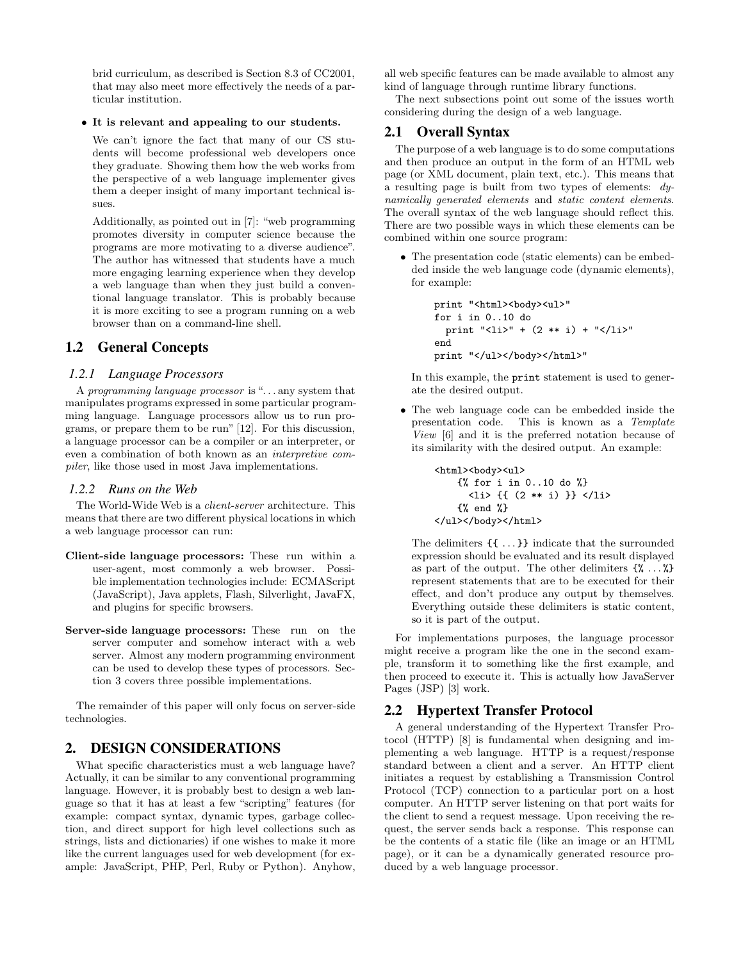brid curriculum, as described is Section 8.3 of CC2001, that may also meet more effectively the needs of a particular institution.

*•* **It is relevant and appealing to our students.**

We can't ignore the fact that many of our CS students will become professional web developers once they graduate. Showing them how the web works from the perspective of a web language implementer gives them a deeper insight of many important technical issues.

Additionally, as pointed out in [7]: "web programming promotes diversity in computer science because the programs are more motivating to a diverse audience". The author has witnessed that students have a much more engaging learning experience when they develop a web language than when they just build a conventional language translator. This is probably because it is more exciting to see a program running on a web browser than on a command-line shell.

# **1.2 General Concepts**

#### *1.2.1 Language Processors*

A *programming language processor* is ". . . any system that manipulates programs expressed in some particular programming language. Language processors allow us to run programs, or prepare them to be run" [12]. For this discussion, a language processor can be a compiler or an interpreter, or even a combination of both known as an *interpretive compiler*, like those used in most Java implementations.

#### *1.2.2 Runs on the Web*

The World-Wide Web is a *client-server* architecture. This means that there are two different physical locations in which a web language processor can run:

- **Client-side language processors:** These run within a user-agent, most commonly a web browser. Possible implementation technologies include: ECMAScript (JavaScript), Java applets, Flash, Silverlight, JavaFX, and plugins for specific browsers.
- **Server-side language processors:** These run on the server computer and somehow interact with a web server. Almost any modern programming environment can be used to develop these types of processors. Section 3 covers three possible implementations.

The remainder of this paper will only focus on server-side technologies.

# **2. DESIGN CONSIDERATIONS**

What specific characteristics must a web language have? Actually, it can be similar to any conventional programming language. However, it is probably best to design a web language so that it has at least a few "scripting" features (for example: compact syntax, dynamic types, garbage collection, and direct support for high level collections such as strings, lists and dictionaries) if one wishes to make it more like the current languages used for web development (for example: JavaScript, PHP, Perl, Ruby or Python). Anyhow,

all web specific features can be made available to almost any kind of language through runtime library functions.

The next subsections point out some of the issues worth considering during the design of a web language.

## **2.1 Overall Syntax**

The purpose of a web language is to do some computations and then produce an output in the form of an HTML web page (or XML document, plain text, etc.). This means that a resulting page is built from two types of elements: *dynamically generated elements* and *static content elements*. The overall syntax of the web language should reflect this. There are two possible ways in which these elements can be combined within one source program:

• The presentation code (static elements) can be embedded inside the web language code (dynamic elements), for example:

```
print "<html><br/>body><ul>"
for i in 0..10 do
  print "<li>" + (2 ** i) +"</li>"
end
print "</ul></body></html>"
```
In this example, the print statement is used to generate the desired output.

*•* The web language code can be embedded inside the presentation code. This is known as a *Template View* [6] and it is the preferred notation because of its similarity with the desired output. An example:

```
<html><body><ul>
    {% for i in 0..10 do %}
      <li> {{ (2 ** i) }} </li>
    {% end %}
</ul></body></html>
```
The delimiters {{ ... }} indicate that the surrounded expression should be evaluated and its result displayed as part of the output. The other delimiters {% ... %} represent statements that are to be executed for their effect, and don't produce any output by themselves. Everything outside these delimiters is static content, so it is part of the output.

For implementations purposes, the language processor might receive a program like the one in the second example, transform it to something like the first example, and then proceed to execute it. This is actually how JavaServer Pages (JSP) [3] work.

# **2.2 Hypertext Transfer Protocol**

A general understanding of the Hypertext Transfer Protocol (HTTP) [8] is fundamental when designing and implementing a web language. HTTP is a request/response standard between a client and a server. An HTTP client initiates a request by establishing a Transmission Control Protocol (TCP) connection to a particular port on a host computer. An HTTP server listening on that port waits for the client to send a request message. Upon receiving the request, the server sends back a response. This response can be the contents of a static file (like an image or an HTML page), or it can be a dynamically generated resource produced by a web language processor.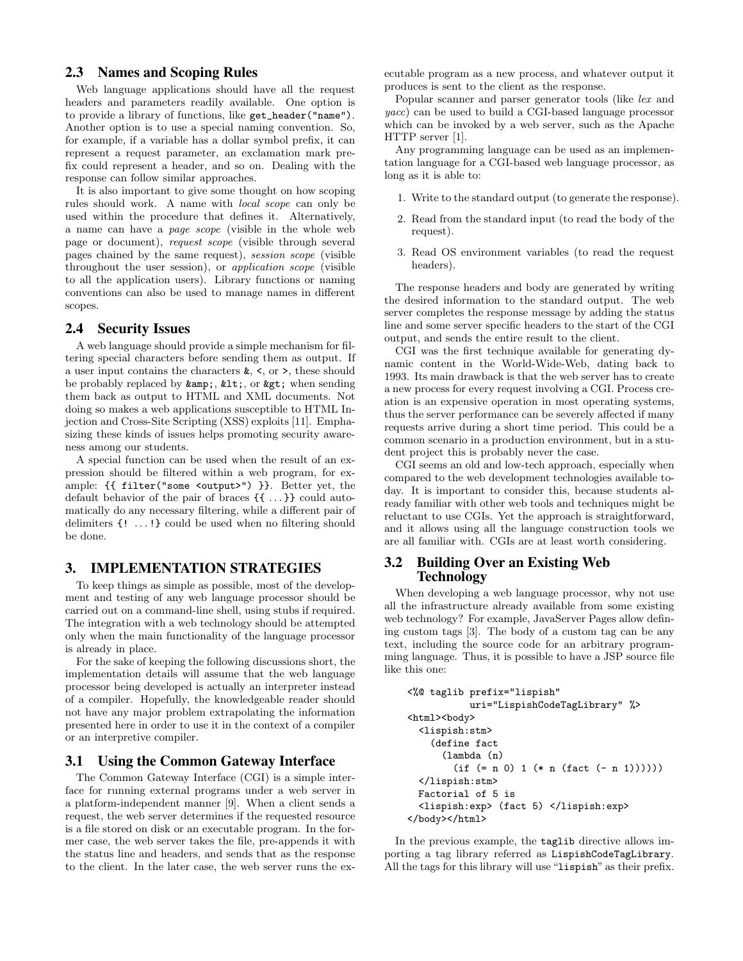#### **2.3 Names and Scoping Rules**

Web language applications should have all the request headers and parameters readily available. One option is to provide a library of functions, like get\_header("name"). Another option is to use a special naming convention. So, for example, if a variable has a dollar symbol prefix, it can represent a request parameter, an exclamation mark prefix could represent a header, and so on. Dealing with the response can follow similar approaches.

It is also important to give some thought on how scoping rules should work. A name with *local scope* can only be used within the procedure that defines it. Alternatively, a name can have a *page scope* (visible in the whole web page or document), *request scope* (visible through several pages chained by the same request), *session scope* (visible throughout the user session), or *application scope* (visible to all the application users). Library functions or naming conventions can also be used to manage names in different scopes.

#### **2.4 Security Issues**

A web language should provide a simple mechanism for filtering special characters before sending them as output. If a user input contains the characters &, <, or >, these should be probably replaced by  $\&; \<;$ , or  $\>$ ; when sending them back as output to HTML and XML documents. Not doing so makes a web applications susceptible to HTML Injection and Cross-Site Scripting (XSS) exploits [11]. Emphasizing these kinds of issues helps promoting security awareness among our students.

A special function can be used when the result of an expression should be filtered within a web program, for example: {{ filter("some <output>") }}. Better yet, the default behavior of the pair of braces {{ ... }} could automatically do any necessary filtering, while a different pair of delimiters {! ... !} could be used when no filtering should be done.

## **3. IMPLEMENTATION STRATEGIES**

To keep things as simple as possible, most of the development and testing of any web language processor should be carried out on a command-line shell, using stubs if required. The integration with a web technology should be attempted only when the main functionality of the language processor is already in place.

For the sake of keeping the following discussions short, the implementation details will assume that the web language processor being developed is actually an interpreter instead of a compiler. Hopefully, the knowledgeable reader should not have any major problem extrapolating the information presented here in order to use it in the context of a compiler or an interpretive compiler.

#### **3.1 Using the Common Gateway Interface**

The Common Gateway Interface (CGI) is a simple interface for running external programs under a web server in a platform-independent manner [9]. When a client sends a request, the web server determines if the requested resource is a file stored on disk or an executable program. In the former case, the web server takes the file, pre-appends it with the status line and headers, and sends that as the response to the client. In the later case, the web server runs the executable program as a new process, and whatever output it produces is sent to the client as the response.

Popular scanner and parser generator tools (like *lex* and *yacc*) can be used to build a CGI-based language processor which can be invoked by a web server, such as the Apache HTTP server [1].

Any programming language can be used as an implementation language for a CGI-based web language processor, as long as it is able to:

- 1. Write to the standard output (to generate the response).
- 2. Read from the standard input (to read the body of the request).
- 3. Read OS environment variables (to read the request headers).

The response headers and body are generated by writing the desired information to the standard output. The web server completes the response message by adding the status line and some server specific headers to the start of the CGI output, and sends the entire result to the client.

CGI was the first technique available for generating dynamic content in the World-Wide-Web, dating back to 1993. Its main drawback is that the web server has to create a new process for every request involving a CGI. Process creation is an expensive operation in most operating systems, thus the server performance can be severely affected if many requests arrive during a short time period. This could be a common scenario in a production environment, but in a student project this is probably never the case.

CGI seems an old and low-tech approach, especially when compared to the web development technologies available today. It is important to consider this, because students already familiar with other web tools and techniques might be reluctant to use CGIs. Yet the approach is straightforward, and it allows using all the language construction tools we are all familiar with. CGIs are at least worth considering.

#### **3.2 Building Over an Existing Web Technology**

When developing a web language processor, why not use all the infrastructure already available from some existing web technology? For example, JavaServer Pages allow defining custom tags [3]. The body of a custom tag can be any text, including the source code for an arbitrary programming language. Thus, it is possible to have a JSP source file like this one:

```
<%@ taglib prefix="lispish"
           uri="LispishCodeTagLibrary" %>
<html><body>
  <lispish:stm>
    (define fact
      (lambda (n)
        (if (= n 0) 1 (* n (fact (- n 1)))))</lispish:stm>
  Factorial of 5 is
  <lispish:exp> (fact 5) </lispish:exp>
</body></html>
```
In the previous example, the taglib directive allows importing a tag library referred as LispishCodeTagLibrary. All the tags for this library will use "lispish" as their prefix.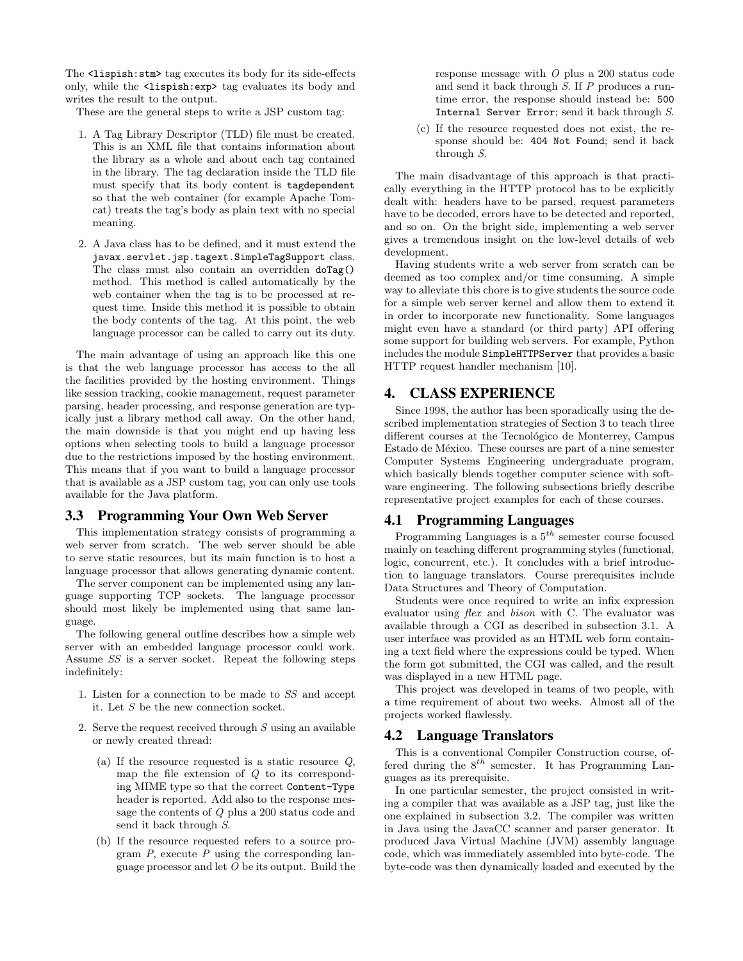The <lispish: stm> tag executes its body for its side-effects only, while the <lispish:exp> tag evaluates its body and writes the result to the output.

These are the general steps to write a JSP custom tag:

- 1. A Tag Library Descriptor (TLD) file must be created. This is an XML file that contains information about the library as a whole and about each tag contained in the library. The tag declaration inside the TLD file must specify that its body content is tagdependent so that the web container (for example Apache Tomcat) treats the tag's body as plain text with no special meaning.
- 2. A Java class has to be defined, and it must extend the javax.servlet.jsp.tagext.SimpleTagSupport class. The class must also contain an overridden doTag() method. This method is called automatically by the web container when the tag is to be processed at request time. Inside this method it is possible to obtain the body contents of the tag. At this point, the web language processor can be called to carry out its duty.

The main advantage of using an approach like this one is that the web language processor has access to the all the facilities provided by the hosting environment. Things like session tracking, cookie management, request parameter parsing, header processing, and response generation are typically just a library method call away. On the other hand, the main downside is that you might end up having less options when selecting tools to build a language processor due to the restrictions imposed by the hosting environment. This means that if you want to build a language processor that is available as a JSP custom tag, you can only use tools available for the Java platform.

#### **3.3 Programming Your Own Web Server**

This implementation strategy consists of programming a web server from scratch. The web server should be able to serve static resources, but its main function is to host a language processor that allows generating dynamic content.

The server component can be implemented using any language supporting TCP sockets. The language processor should most likely be implemented using that same language.

The following general outline describes how a simple web server with an embedded language processor could work. Assume *SS* is a server socket. Repeat the following steps indefinitely:

- 1. Listen for a connection to be made to *SS* and accept it. Let *S* be the new connection socket.
- 2. Serve the request received through *S* using an available or newly created thread:
	- (a) If the resource requested is a static resource *Q*, map the file extension of *Q* to its corresponding MIME type so that the correct Content-Type header is reported. Add also to the response message the contents of *Q* plus a 200 status code and send it back through *S*.
	- (b) If the resource requested refers to a source program *P*, execute *P* using the corresponding language processor and let *O* be its output. Build the

response message with *O* plus a 200 status code and send it back through *S*. If *P* produces a runtime error, the response should instead be: 500 Internal Server Error; send it back through *S*.

(c) If the resource requested does not exist, the response should be: 404 Not Found; send it back through *S*.

The main disadvantage of this approach is that practically everything in the HTTP protocol has to be explicitly dealt with: headers have to be parsed, request parameters have to be decoded, errors have to be detected and reported, and so on. On the bright side, implementing a web server gives a tremendous insight on the low-level details of web development.

Having students write a web server from scratch can be deemed as too complex and/or time consuming. A simple way to alleviate this chore is to give students the source code for a simple web server kernel and allow them to extend it in order to incorporate new functionality. Some languages might even have a standard (or third party) API offering some support for building web servers. For example, Python includes the module SimpleHTTPServer that provides a basic HTTP request handler mechanism [10].

## **4. CLASS EXPERIENCE**

Since 1998, the author has been sporadically using the described implementation strategies of Section 3 to teach three different courses at the Tecnológico de Monterrey, Campus Estado de México. These courses are part of a nine semester Computer Systems Engineering undergraduate program, which basically blends together computer science with software engineering. The following subsections briefly describe representative project examples for each of these courses.

## **4.1 Programming Languages**

Programming Languages is a 5*th* semester course focused mainly on teaching different programming styles (functional, logic, concurrent, etc.). It concludes with a brief introduction to language translators. Course prerequisites include Data Structures and Theory of Computation.

Students were once required to write an infix expression evaluator using *flex* and *bison* with C. The evaluator was available through a CGI as described in subsection 3.1. A user interface was provided as an HTML web form containing a text field where the expressions could be typed. When the form got submitted, the CGI was called, and the result was displayed in a new HTML page.

This project was developed in teams of two people, with a time requirement of about two weeks. Almost all of the projects worked flawlessly.

## **4.2 Language Translators**

This is a conventional Compiler Construction course, offered during the 8*th* semester. It has Programming Languages as its prerequisite.

In one particular semester, the project consisted in writing a compiler that was available as a JSP tag, just like the one explained in subsection 3.2. The compiler was written in Java using the JavaCC scanner and parser generator. It produced Java Virtual Machine (JVM) assembly language code, which was immediately assembled into byte-code. The byte-code was then dynamically loaded and executed by the